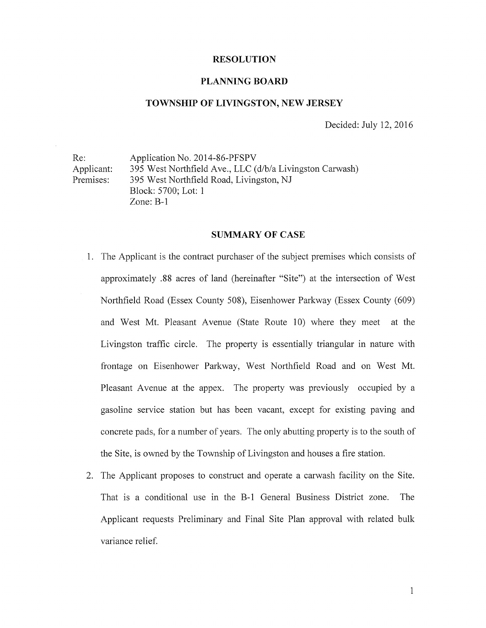#### RESOLUTION

#### PLANNING BOARD

#### TOWNSHIP OF LIVINGSTON, NEW JERSEY

Decided: July 12, 2016

Re: Application No. 2014-86-PFSPV Applicant: 395 West Northfield Ave., LLC (d/b/a Livingston Carwash) Premises: 395 West Northfield Road, Livingston, NJ Block: 5700; Lot: <sup>1</sup> Zone: B-i

#### SUMMARY OF CASE

- 1. The Applicant is the contract purchaser of the subject premises which consists of approximately .88 acres of land (hereinafler "Site") at the intersection of West Northfield Road (Essex County 508), Eisenhower Parkway (Essex County (609) and West Mt. Pleasant Avenue (State Route 10) where they meet at the Livingston traffic circle. The property is essentially triangular in nature with frontage on Eisenhower Parkway, West Northfield Road and on West Mt. Pleasant Avenue at the appex. The property was previously occupied by a gasoline service station but has been vacant, except for existing paving and concrete pads, for <sup>a</sup> number of years. The only abutting property is to the south of the Site, is owned by the Township of Livingston and houses a fire station.
- 2. The Applicant proposes to construct and operate a carwash facility on the Site. That is <sup>a</sup> conditional use in the B-i General Business District zone. The Applicant requests Preliminary and Final Site Plan approval with related bulk variance relief.

 $\mathbf{1}$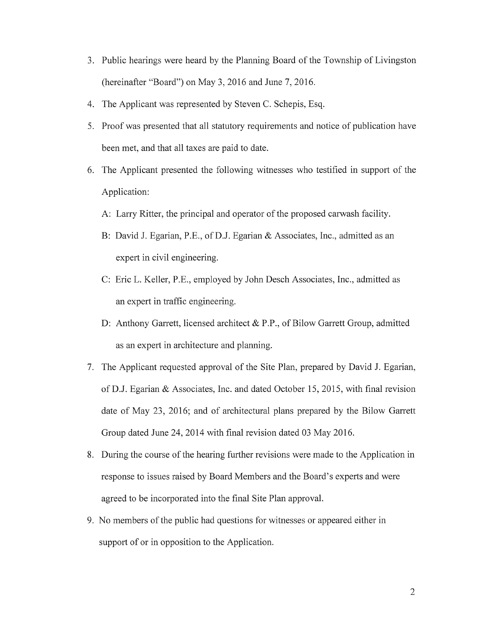- 3. Public hearings were heard by the Planning Board of the Township of Livingston (hereinafier "Board") on May 3, 2016 and June 7, 2016.
- 4. The Applicant was represented by Steven C. Schepis, Esq.
- 5. Proof was presented that all statutory requirements and notice of publication have been met, and that all taxes are paid to date.
- 6. The Applicant presented the following witnesses who testified in support of the Application:
	- A: Larry Ritter, the principal and operator of the proposed carwash facility.
	- B: David J. Egarian, P.E., of D.J. Egarian & Associates, Inc., admitted as an expert in civil engineering.
	- C: Eric L. Keller, P.E., employed by John Desch Associates, Inc., admitted as an expert in traffic engineering.
	- D: Anthony Garrett, licensed architect & P.P., of Bilow Garrett Group, admitted as an expert in architecture and planning.
- 7. The Applicant requested approval of the Site Plan, prepared by David J. Egarian, of D.J. Egarian & Associates, Inc. and dated October 15, 2015, with final revision date of May 23, 2016; and of architectural plans prepared by the Bilow Garrett Group dated June 24, 2014 with final revision dated 03 May 2016.
- 8. During the course of the hearing further revisions were made to the Application in response to issues raised by Board Members and the Board's experts and were agreed to be incorporated into the final Site Plan approval.
- 9. No members of the public had questions for witnesses or appeared either in support of or in opposition to the Application.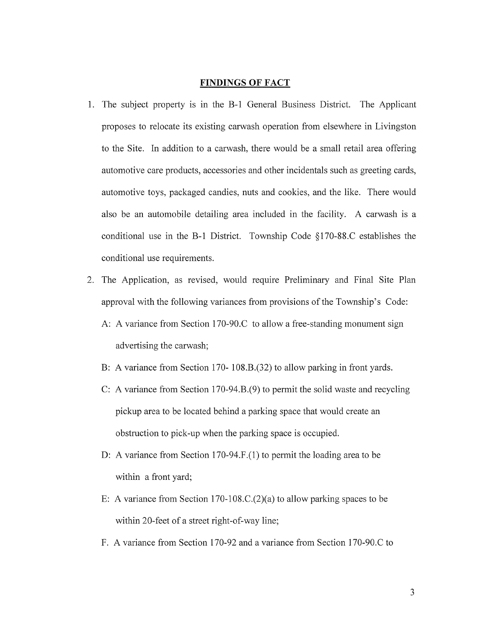#### FINDINGS OF FACT

- 1. The subject property is in the B-i General Business District. The Applicant proposes to relocate its existing carwash operation from elsewhere in Livingston to the Site. In addition to a carwash, there would be a small retail area offering automotive care products, accessories and other incidentals such as greeting cards, automotive toys, packaged candies, nuts and cookies, and the like. There would also be an automobile detailing area included in the facility. A carwash is a conditional use in the B-i District. Township Code §170-88.C establishes the conditional use requirements.
- 2. The Application, as revised, would require Preliminary and Final Site Plan approval with the following variances from provisions of the Township's Code:
	- A: A variance from Section 170-90.C to allow a free-standing monument sign advertising the carwash;
	- B: A variance from Section 170- 108.B.(32) to allow parking in front yards.
	- C: A variance from Section 170-94.B.(9) to permit the solid waste and recycling pickup area to be located behind a parking space that would create an obstruction to pick-up when the parking space is occupied.
	- D: A variance from Section 170-94. F. (1) to permit the loading area to be within a front yard;
	- E: A variance from Section 170-108.C.(2)(a) to allow parking spaces to be within 20-feet of <sup>a</sup> street right-of-way line;
	- F. A variance from Section 170-92 and a variance from Section 170-90.C to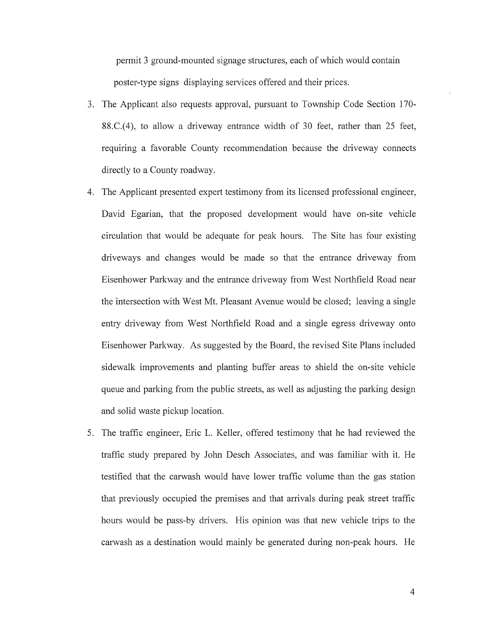permit <sup>3</sup> ground-mounted signage structures, each of which would contain poster-type signs displaying services offered and their prices.

- 3. The Applicant also requests approval, pursuant to Township Code Section 170- 88.C.(4), to allow <sup>a</sup> driveway entrance width of 30 feet, rather than 25 feet, requiring a favorable County recommendation because the driveway connects directly to a County roadway.
- 4. The Applicant presented expert testimony from its licensed professional engineer, David Egarian, that the proposed development would have on-site vehicle circulation that would be adequate for peak hours. The Site has four existing driveways and changes would be made so that the entrance driveway from Eisenhower Parkway and the entrance driveway from West Northfield Road near the intersection with West Mt. Pleasant Avenue would be closed; leaving a single entry driveway from West Northfield Road and a single egress driveway onto Eisenhower Parkway. As suggested by the Board, the revised Site Plans included sidewalk improvements and planting buffer areas to shield the on-site vehicle queue and parking from the public streets, as well as adjusting the parking design and solid waste pickup location.
- 5. The traffic engineer, Eric L. Keller, offered testimony that he had reviewed the traffic study prepared by John Desch Associates, and was familiar with it. He testified that the carwash would have lower traffic volume than the gas station that previously occupied the premises and that arrivals during peak street traffic hours would be pass-by drivers. His opinion was that new vehicle trips to the carwash as a destination would mainly be generated during non-peak hours. He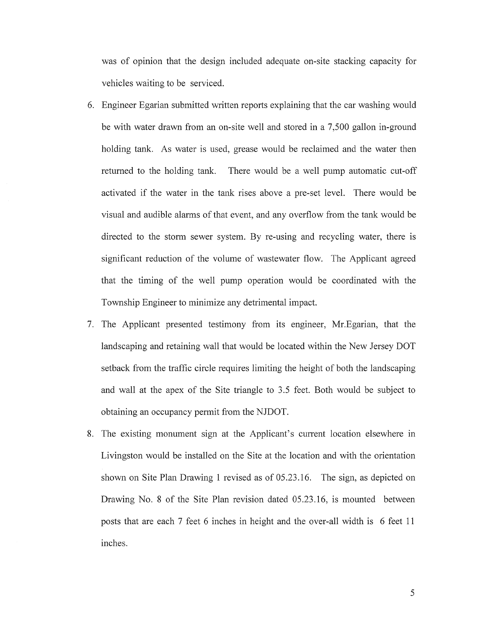was of opinion that the design included adequate on-site stacking capacity for vehicles waiting to be serviced.

- 6. Engineer Egarian submitted written reports explaining that the car washing would be with water drawn from an on-site well and stored in a 7,500 gallon in-ground holding tank. As water is used, grease would be reclaimed and the water then returned to the holding tank. There would be a well pump automatic cut-off activated if the water in the tank rises above <sup>a</sup> pre-set level. There would be visual and audible alarms of that event, and any overflow from the tank would be directed to the storm sewer system. By re-using and recycling water, there is significant reduction of the volume of wastewater flow. The Applicant agreed that the timing of the well pump operation would be coordinated with the Township Engineer to minimize any detrimental impact.
- 7. The Applicant presented testimony from its engineer, Mr.Egarian, that the landscaping and retaining wall that would be located within the New Jersey DOT setback from the traffic circle requires limiting the height of both the landscaping and wall at the apex of the Site triangle to 3.5 feet. Both would be subject to obtaining an occupancy permit from the NJDOT.
- 8. The existing monument sign at the Applicant's current location elsewhere in Livingston would be installed on the Site at the location and with the orientation shown on Site Plan Drawing <sup>1</sup> revised as of 05.23.16. The sign, as depicted on Drawing No. <sup>8</sup> of the Site Plan revision dated 05.23.16, is mounted between posts that are each 7 feet 6 inches in height and the over-all width is 6 feet <sup>11</sup> inches.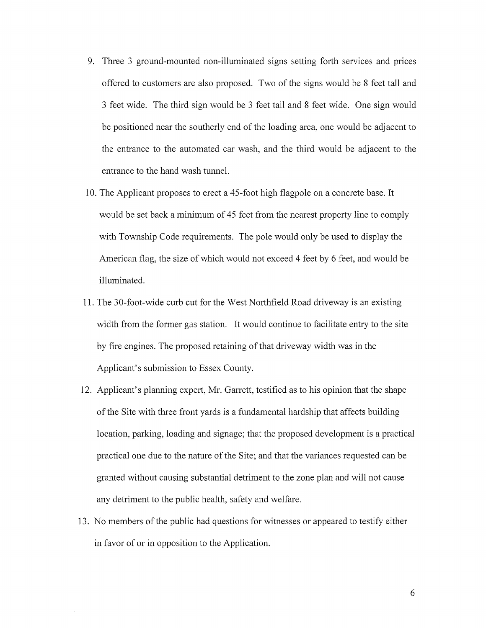- 9. Three <sup>3</sup> ground-mounted non-illuminated signs setting forth services and prices offered to customers are also proposed. Two of the signs would be <sup>8</sup> feet tall and <sup>3</sup> feet wide. The third sign would be <sup>3</sup> feet tall and <sup>8</sup> feet wide. One sign would be positioned near the southerly end of the loading area, one would be adjacent to the entrance to the automated car wash, and the third would be adjacent to the entrance to the hand wash tunnel.
- 10. The Applicant proposes to erect a 45-foot high flagpole on a concrete base. It would be set back <sup>a</sup> minimum of 45 feet from the nearest property line to comply with Township Code requirements. The pole would only be used to display the American flag, the size of which would not exceed 4 feet by <sup>6</sup> feet, and would be illuminated.
- 11. The 30-foot-wide curb cut for the West Northfield Road driveway is an existing width from the former gas station. It would continue to facilitate entry to the site by fire engines. The proposed retaining of that driveway width was in the Applicant's submission to Essex County.
- 12. Applicant's planning expert, Mr. Garrett, testified as to his opinion that the shape of the Site with three front yards is <sup>a</sup> fundamental hardship that affects building location, parking, loading and signage; that the proposed development is a practical practical one due to the nature of the Site; and that the variances requested can be granted without causing substantial detriment to the zone plan and will not cause any detriment to the public health, safety and welfare.
- 13. No members of the public had questions for witnesses or appeared to testify either in favor of or in opposition to the Application.

6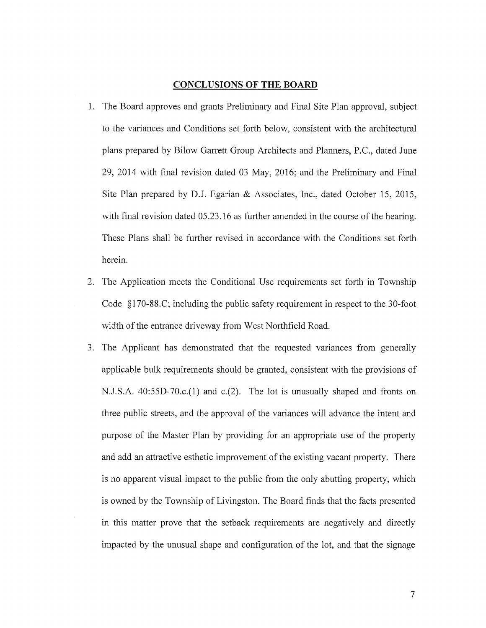#### CONCLUSIONS OF THE BOARD

- 1. The Board approves and grants Preliminary and Final Site Plan approval, subject to the variances and Conditions set forth below, consistent with the architectural plans prepared by Bilow Garrett Group Architects and Planners, P.C., dated June 29, 2014 with final revision dated 03 May, 2016; and the Preliminary and Final Site Plan prepared by D.J. Egarian & Associates, Inc., dated October 15, 2015, with final revision dated 05.23.16 as further amended in the course of the hearing. These Plans shall be further revised in accordance with the Conditions set forth herein.
- 2. The Application meets the Conditional Use requirements set forth in Township Code §170-88.C; including the public safety requirement in respect to the 30-foot width of the entrance driveway from West Northfield Road.
- 3. The Applicant has demonstrated that the requested variances from generally applicable bulk requirements should be granted, consistent with the provisions of N.J.S.A. 40:55D-70.c.(1) and c.(2). The lot is unusually shaped and fronts on three public streets, and the approval of the variances will advance the intent and purpose of the Master Plan by providing for an appropriate use of the property and add an attractive esthetic improvement of the existing vacant property. There is no apparent visual impact to the public from the only abutting property, which is owned by the Township of Livingston. The Board finds that the facts presented in this matter prove that the setback requirements are negatively and directly impacted by the unusual shape and configuration of the lot, and that the signage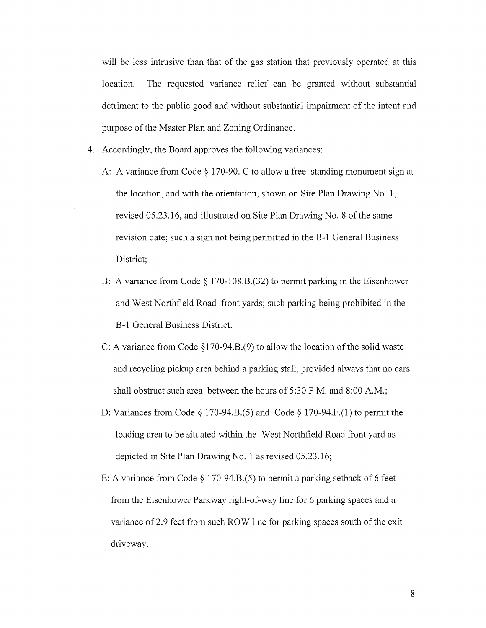will be less intrusive than that of the gas station that previously operated at this location. The requested variance relief can be granted without substantial detriment to the public good and without substantial impairment of the intent and purpose of the Master Plan and Zoning Ordinance.

- 4. Accordingly, the Board approves the following variances:
	- A: A variance from Code  $\S 170-90$ . C to allow a free-standing monument sign at the location, and with the orientation, shown on Site Plan Drawing No. 1, revised 05 .23.16, and illustrated on Site Plan Drawing No. <sup>8</sup> of the same revision date; such a sign not being permitted in the B-1 General Business District;
	- B: A variance from Code § 170-108.B.(32) to permit parking in the Eisenhower and West Northfield Road front yards; such parking being prohibited in the B-i General Business District.
	- C: A variance from Code §170-94.B.(9) to allow the location of the solid waste and recycling pickup area behind a parking stall, provided always that no cars shall obstruct such area between the hours of 5:30 P.M. and 8:00 A.M.;
	- D: Variances from Code  $\S$  170-94.B.(5) and Code  $\S$  170-94.F.(1) to permit the loading area to be situated within the West Northfield Road front yard as depicted in Site Plan Drawing No. <sup>1</sup> as revised 05.23.16;
	- E: A variance from Code § <sup>1</sup> 70-94.B.(5) to permit <sup>a</sup> parking setback of <sup>6</sup> feet from the Eisenhower Parkway right-of-way line for 6 parking spaces and a variance of 2.9 feet from such ROW line for parking spaces south of the exit driveway.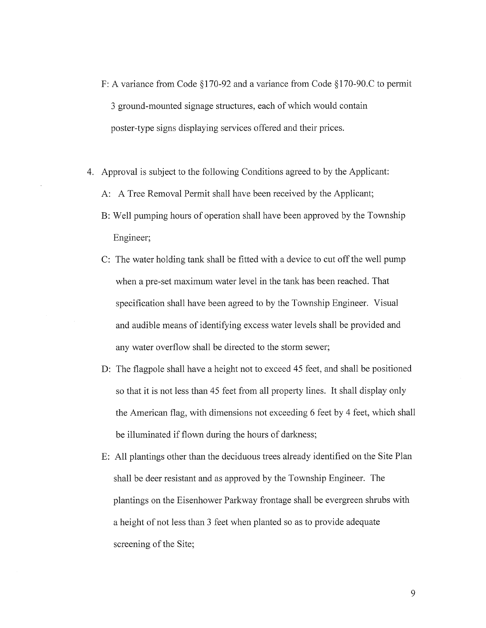- F: A variance from Code §170-92 and a variance from Code §170-90.C to permit <sup>3</sup> ground-mounted signage structures, each of which would contain poster-type signs displaying services offered and their prices.
- 4. Approval is subject to the following Conditions agreed to by the Applicant:
	- A: A Tree Removal Permit shall have been received by the Applicant;
	- B: Well pumping hours of operation shall have been approved by the Township Engineer;
	- C: The water holding tank shall be fitted with <sup>a</sup> device to cut off the well pump when a pre-set maximum water level in the tank has been reached. That specification shall have been agreed to by the Township Engineer. Visual and audible means of identifying excess water levels shall be provided and any water overflow shall be directed to the storm sewer;
	- D: The flagpole shall have a height not to exceed 45 feet, and shall be positioned so that it is not less than 45 feet from all property lines. It shall display only the American flag, with dimensions not exceeding 6 feet by 4 feet, which shall be illuminated if flown during the hours of darkness;
	- E: All plantings other than the deciduous trees already identified on the Site Plan shall be deer resistant and as approved by the Township Engineer. The plantings on the Eisenhower Parkway frontage shall be evergreen shrubs with <sup>a</sup> height of not less than <sup>3</sup> feet when planted so as to provide adequate screening of the Site;

9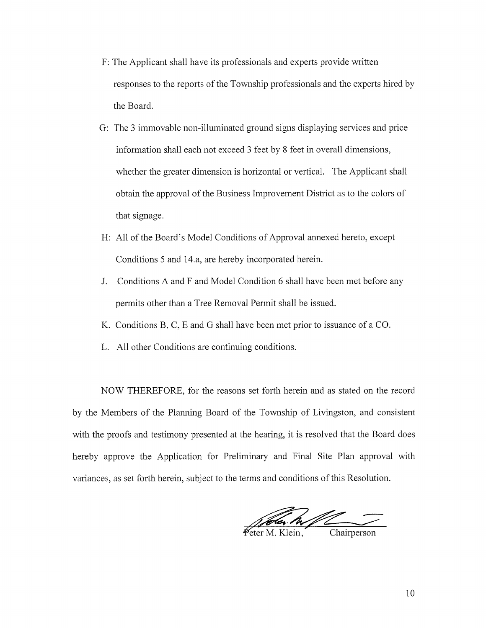- F: The Applicant shall have its professionals and experts provide written responses to the reports of the Township professionals and the experts hired by the Board.
- G: The <sup>3</sup> immovable non-illuminated ground signs displaying services and price information shall each not exceed <sup>3</sup> feet by <sup>8</sup> feet in overall dimensions, whether the greater dimension is horizontal or vertical. The Applicant shall obtain the approval of the Business Improvement District as to the colors of that signage.
- H: All of the Board's Model Conditions of Approval annexed hereto, except Conditions 5 and 14.a, are hereby incorporated herein.
- J. Conditions A and F and Model Condition 6 shall have been met before any permits other than a Tree Removal Permit shall be issued.
- K. Conditions B, C, E and G shall have been met prior to issuance of <sup>a</sup> CO.
- L. All other Conditions are continuing conditions.

NOW THEREFORE, for the reasons set forth herein and as stated on the record by the Members of the Planning Board of the Township of Livingston, and consistent with the proofs and testimony presented at the hearing, it is resolved that the Board does hereby approve the Application for Preliminary and Final Site Plan approval with variances, as set forth herein, subject to the terms and conditions of this Resolution.

Free M. Klein, Chairperson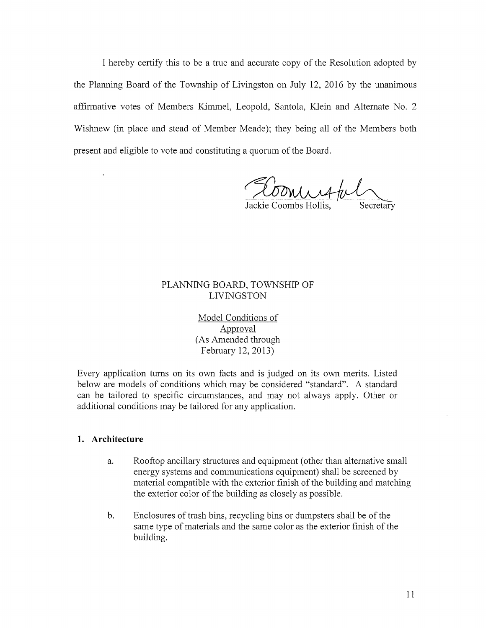I hereby certify this to be <sup>a</sup> true and accurate copy of the Resolution adopted by the Planning Board of the Township of Livingston on July 12, 2016 by the unanimous affirmative votes of Members Kimmel, Leopold, Santola, Klein and Alternate No. 2 Wishnew (in place and stead of Member Meade); they being all of the Members both present and eligible to vote and constituting <sup>a</sup> quorum of the Board.

commation

Jackie Coombs Hollis, Secretary

## PLANNING BOARD, TOWNSHIP OF LIVINGSTON

Model Conditions of Approval (As Amended through February 12, 2013)

Every application turns on its own facts and is judged on its own merits. Listed below are models of conditions which may be considered "standard". A standard can be tailored to specific circumstances, and may not always apply. Other or additional conditions may be tailored for any application.

#### 1. Architecture

 $\ddot{\phantom{a}}$ 

- a. Rooftop ancillary structures and equipment (other than alternative small energy systems and communications equipment) shall be screened by material compatible with the exterior finish of the building and matching the exterior color of the building as closely as possible.
- b. Enclosures of trash bins, recycling bins or dumpsters shall be of the same type of materials and the same color as the exterior finish of the building.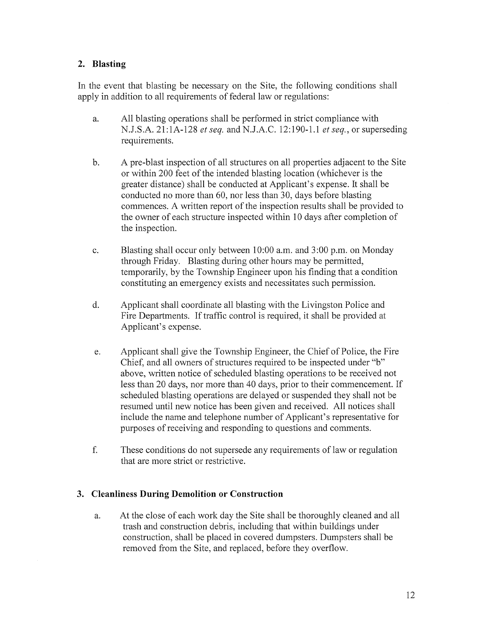# 2. Blasting

In the event that blasting be necessary on the Site, the following conditions shall apply in addition to all requirements of federal law or regulations:

- a. All blasting operations shall be performed in strict compliance with N.J.S.A. 21:1A-128 *et seq.* and N.J.A.C. 12:190-1.1 *et seq.*, or superseding requirements.
- b. A pre-blast inspection of all structures on all properties adjacent to the Site or within 200 feet of the intended blasting location (whichever is the greater distance) shall be conducted at Applicant's expense. It shall be conducted no more than 60, nor less than 30, days before blasting commences. A written report of the inspection results shall be provided to the owner of each structure inspected within <sup>10</sup> days after completion of the inspection.
- c. Blasting shall occur only between 10:00 a.m. and 3:00 p.m. on Monday through Friday. Blasting during other hours may be permitted, temporarily, by the Township Engineer upon his finding that a condition constituting an emergency exists and necessitates such permission.
- d. Applicant shall coordinate all blasting with the Livingston Police and Fire Departments. If traffic control is required, it shall be provided at Applicant's expense.
- e. Applicant shall give the Township Engineer, the Chief of Police, the Fire Chief, and all owners of structures required to be inspected under "b" above, written notice of scheduled blasting operations to be received not less than <sup>20</sup> days, nor more than <sup>40</sup> days, prior to their commencement. If scheduled blasting operations are delayed or suspended they shall not be resumed until new notice has been given and received. All notices shall include the name and telephone number of Applicant's representative for purposes of receiving and responding to questions and comments.
- f. These conditions do not supersede any requirements of law or regulation that are more strict or restrictive.

# 3. Cleanliness During Demolition or Construction

a. At the close of each work day the Site shall be thoroughly cleaned and all trash and construction debris, including that within buildings under construction, shall be placed in covered dumpsters. Dumpsters shall be removed from the Site, and replaced, before they overflow.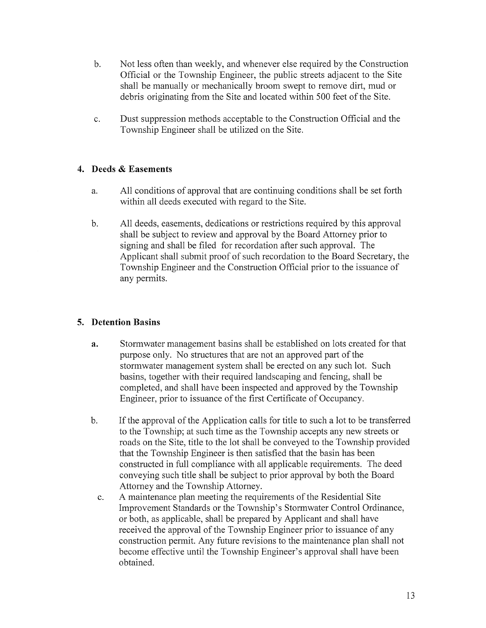- b. Not less often than weekly, and whenever else required by the Construction Official or the Township Engineer, the public streets adjacent to the Site shall be manually or mechanically broom swept to remove dirt, mud or debris originating from the Site and located within 500 feet of the Site.
- c. Dust suppression methods acceptable to the Construction Official and the Township Engineer shall be utilized on the Site.

## 4. Deeds & Easements

- a. All conditions of approval that are continuing conditions shall be set forth within all deeds executed with regard to the Site.
- b. All deeds, easements, dedications or restrictions required by this approval shall be subject to review and approval by the Board Attorney prior to signing and shall be filed for recordation after such approval. The Applicant shall submit proof of such recordation to the Board Secretary, the Township Engineer and the Construction Official prior to the issuance of any permits.

# 5. Detention Basins

- a. Stormwater management basins shall be established on lots created for that purpose only. No structures that are not an approved part of the stormwater management system shall be erected on any such lot, Such basins, together with their required landscaping and fencing, shall be completed, and shall have been inspected and approved by the Township Engineer, prior to issuance of the first Certificate of Occupancy.
- b. If the approval of the Application calls for title to such <sup>a</sup> lot to be transferred to the Township; at such time as the Township accepts any new streets or roads on the Site, title to the lot shall be conveyed to the Township provided that the Township Engineer is then satisfied that the basin has been constructed in full compliance with all applicable requirements. The deed conveying such title shall be subject to prior approval by both the Board Attorney and the Township Attorney.
	- c. A maintenance plan meeting the requirements of the Residential Site Improvement Standards or the Township's Stormwater Control Ordinance, or both, as applicable, shall be prepared by Applicant and shall have received the approval of the Township Engineer prior to issuance of any construction permit. Any future revisions to the maintenance plan shall not become effective until the Township Engineer's approval shall have been obtained.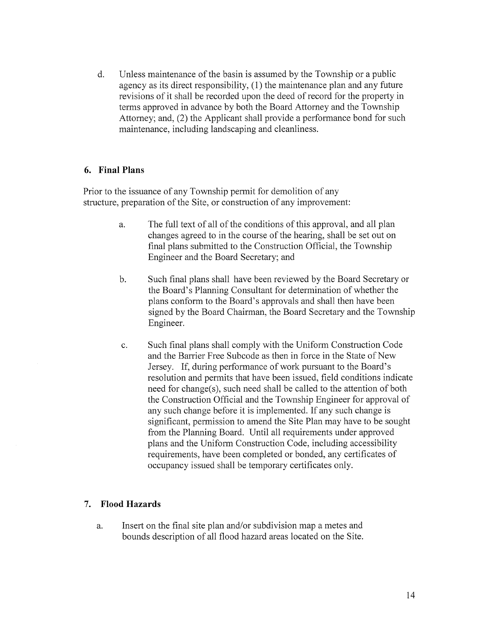d. Unless maintenance of the basin is assumed by the Township or <sup>a</sup> public agency as its direct responsibility, (1) the maintenance plan and any future revisions of it shall be recorded upon the deed of record for the property in terms approved in advance by both the Board Attorney and the Township Attorney; and, (2) the Applicant shall provide a performance bond for such maintenance, including landscaping and cleanliness.

## 6. Final Plans

Prior to the issuance of any Township permit for demolition of any structure, preparation of the Site, or construction of any improvement:

- a. The full text of all of the conditions of this approval, and all plan changes agreed to in the course of the hearing, shall be set out on final plans submitted to the Construction Official, the Township Engineer and the Board Secretary; and
- b. Such final plans shall have been reviewed by the Board Secretary or the Board's Planning Consultant for determination of whether the plans conform to the Board's approvals and shall then have been signed by the Board Chairman, the Board Secretary and the Township Engineer.
- c. Such final plans shall comply with the Uniform Construction Code and the Barrier Free Subcode as then in force in the State of New Jersey. If, during performance of work pursuant to the Board's resolution and permits that have been issued, field conditions indicate need for change(s), such need shall be called to the attention of both the Construction Official and the Township Engineer for approval of any such change before it is implemented. If any such change is significant, permission to amend the Site Plan may have to be sought from the Planning Board. Until all requirements under approved plans and the Uniform Construction Code, including accessibility requirements, have been completed or bonded, any certificates of occupancy issued shall be temporary certificates only.

### 7. Flood Hazards

a. Insert on the final site plan and/or subdivision map a metes and bounds description of all flood hazard areas located on the Site.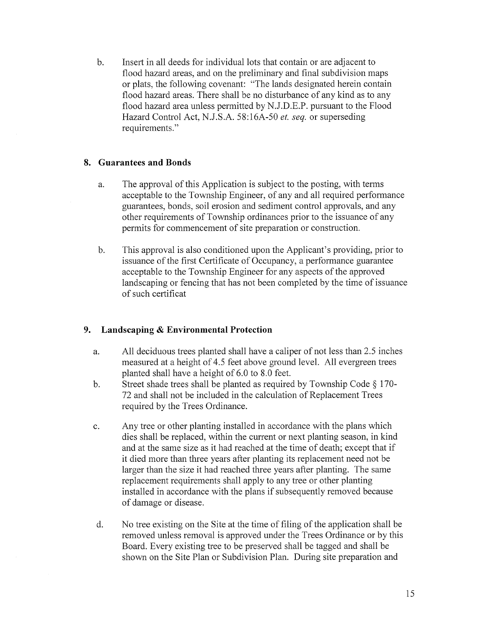b. Insert in all deeds for individual lots that contain or are adjacent to flood hazard areas, and on the preliminary and final subdivision maps or plats, the following covenant: "The lands designated herein contain flood hazard areas. There shall be no disturbance of any kind as to any flood hazard area unless permitted by N.J.D.E.P. pursuant to the Flood Hazard Control Act, N.J.S.A. 58:16A-50 et. seq. or superseding requirements."

## 8. Guarantees and Bonds

- a. The approval of this Application is subject to the posting, with terms acceptable to the Township Engineer, of any and all required performance guarantees, bonds, soil erosion and sediment control approvals, and any other requirements of Township ordinances prior to the issuance of any permits for commencement of site preparation or construction.
- b. This approval is also conditioned upon the Applicant's providing, prior to issuance of the first Certificate of Occupancy, a performance guarantee acceptable to the Township Engineer for any aspects of the approved landscaping or fencing that has not been completed by the time of issuance of such certificat

# 9. Landscaping & Environmental Protection

- a. All deciduous trees planted shall have <sup>a</sup> caliper of not less than 2.5 inches measured at <sup>a</sup> height of 4.5 feet above ground level. All evergreen trees planted shall have <sup>a</sup> height of 6.0 to 8.0 feet.
- b. Street shade trees shall be planted as required by Township Code § 170- 72 and shall not be included in the calculation of Replacement Trees required by the Trees Ordinance.
- c. Any tree or other planting installed in accordance with the plans which dies shall be replaced, within the current or next planting season, in kind and at the same size as it had reached at the time of death; except that if it died more than three years afier planting its replacement need not be larger than the size it had reached three years afier planting. The same replacement requirements shall apply to any tree or other planting installed in accordance with the plans if subsequently removed because of damage or disease.
- d. No tree existing on the Site at the time of filing of the application shall be removed unless removal is approved under the Trees Ordinance or by this Board. Every existing tree to be preserved shall be tagged and shall be shown on the Site Plan or Subdivision Plan. During site preparation and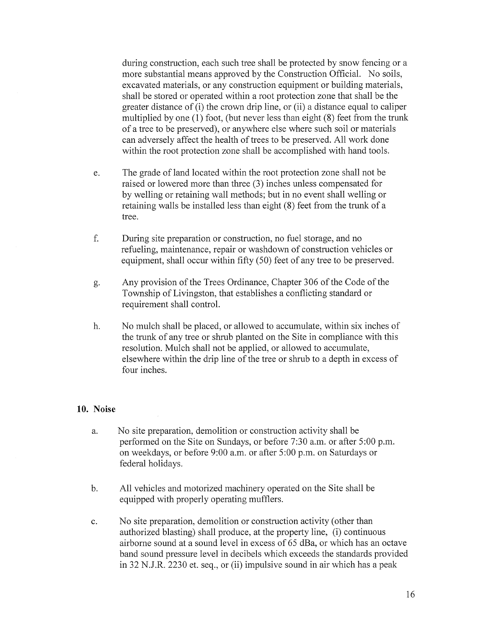during construction, each such tree shall be protected by snow fencing or a more substantial means approved by the Construction Official. No soils, excavated materials, or any construction equipment or building materials, shall be stored or operated within a root protection zone that shall be the greater distance of (i) the crown drip line, or (ii) <sup>a</sup> distance equal to caliper multiplied by one (1) foot, (but never less than eight (8) feet from the trunk of a tree to be preserved), or anywhere else where such soil or materials can adversely affect the health of trees to be preserved. All work done within the root protection zone shall be accomplished with hand tools.

- e. The grade of land located within the root protection zone shall not be raised or lowered more than three (3) inches unless compensated for by welling or retaining wall methods; but in no event shall welling or retaining walls be installed less than eight (8) feet from the trunk of <sup>a</sup> tree.
- f. During site preparation or construction, no fuel storage, and no refueling, maintenance, repair or washdown of construction vehicles or equipment, shall occur within fifty (50) feet of any tree to be preserved.
- g. Any provision of the Trees Ordinance, Chapter 306 of the Code of the Township of Livingston, that establishes <sup>a</sup> conflicting standard or requirement shall control.
- h. No mulch shall be placed, or allowed to accumulate, within six inches of the trunk of any tree or shrub planted on the Site in compliance with this resolution. Mulch shall not be applied, or allowed to accumulate, elsewhere within the drip line of the tree or shrub to a depth in excess of four inches.

#### 10. Noise

- a. No site preparation, demolition or construction activity shall be performed on the Site on Sundays, or before 7:30 a.m. or after 5:00 p.m. on weekdays, or before 9:00 a.m. or after 5:00 p.m. on Saturdays or federal holidays.
- b. All vehicles and motorized machinery operated on the Site shall be equipped with properly operating mufflers.
- c. No site preparation, demolition or construction activity (other than authorized blasting) shall produce, at the property line, (i) continuous airborne sound at a sound level in excess of 65 dBa, or which has an octave band sound pressure level in decibels which exceeds the standards provided in 32 N.J.R. 2230 et. seq., or (ii) impulsive sound in air which has a peak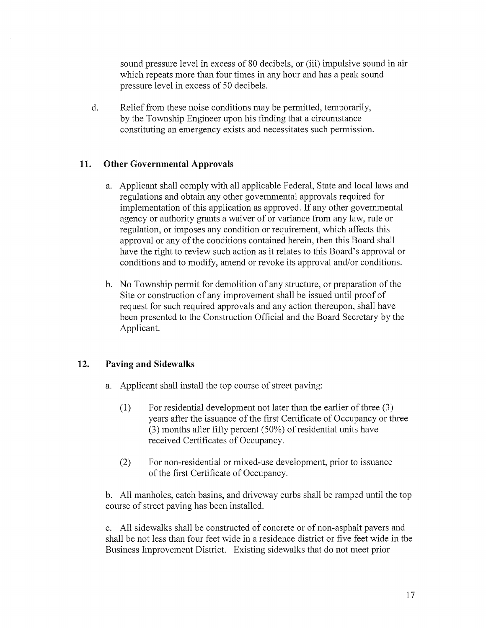sound pressure level in excess of 80 decibels, or (iii) impulsive sound in air which repeats more than four times in any hour and has a peak sound pressure level in excess of 50 decibels.

d. Relief from these noise conditions may be permitted, temporarily, by the Township Engineer upon his finding that a circumstance constituting an emergency exists and necessitates such permission.

## 11. Other Governmental Approvals

- a. Applicant shall comply with all applicable Federal, State and local laws and regulations and obtain any other governmental approvals required for implementation of this application as approved. If any other governmental agency or authority grants <sup>a</sup> waiver of or variance from any law, rule or regulation, or imposes any condition or requirement, which affects this approval or any of the conditions contained herein, then this Board shall have the right to review such action as it relates to this Board's approval or conditions and to modify, amend or revoke its approval and/or conditions.
- b. No Township permit for demolition of any structure, or preparation of the Site or construction of any improvement shall be issued until proof of request for such required approvals and any action thereupon, shall have been presented to the Construction Official and the Board Secretary by the Applicant.

### 12. Paving and Sidewalks

- a. Applicant shall install the top course of street paving:
	- (1) For residential development not later than the earlier of three (3) years after the issuance of the first Certificate of Occupancy or three (3) months after fifty percent (50%) of residential units have received Certificates of Occupancy.
	- (2) For non-residential or mixed-use development, prior to issuance of the first Certificate of Occupancy.

b. All manholes, catch basins, and driveway curbs shall be ramped until the top course of street paving has been installed.

c. All sidewalks shall be constructed of concrete or of non-asphalt payers and shall be not less than four feet wide in a residence district or five feet wide in the Business Improvement District. Existing sidewalks that do not meet prior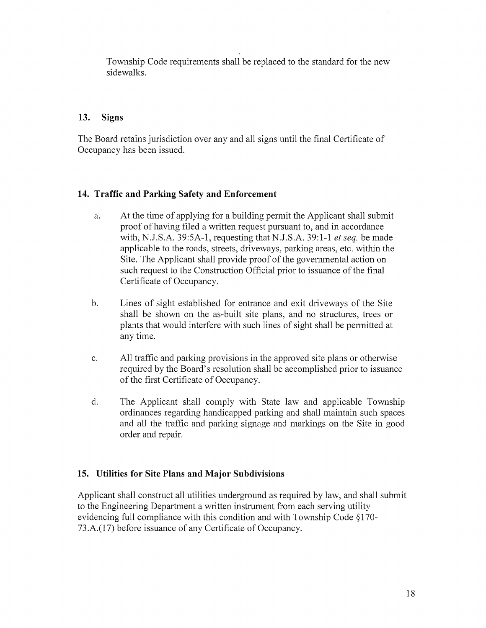Township Code requirements shall be replaced to the standard for the new sidewalks.

## 13. Signs

The Board retains jurisdiction over any and all signs until the final Certificate of Occupancy has been issued.

# 14. Traffic and Parking Safety and Enforcement

- a. At the time of applying for a building permit the Applicant shall submit proof of having filed <sup>a</sup> written request pursuant to, and in accordance with, N.J.S.A. 39:5A-1, requesting that N.J.S.A. 39:1-1 et seq. be made applicable to the roads, streets, driveways, parking areas, etc. within the Site. The Applicant shall provide proof of the governmental action on such request to the Construction Official prior to issuance of the final Certificate of Occupancy.
- b. Lines of sight established for entrance and exit driveways of the Site shall be shown on the as-built site plans, and no structures, trees or plants that would interfere with such lines of sight shall be permitted at any time.
- c. All traffic and parking provisions in the approved site plans or otherwise required by the Board's resolution shall be accomplished prior to issuance of the first Certificate of Occupancy.
- d. The Applicant shall comply with State law and applicable Township ordinances regarding handicapped parking and shall maintain such spaces and all the traffic and parking signage and markings on the Site in good order and repair.

# 15. Utilities for Site Plans and Major Subdivisions

Applicant shall construct all utilities underground as required by law, and shall submit to the Engineering Department <sup>a</sup> written instrument from each serving utility evidencing full compliance with this condition and with Township Code §170-73.A.(17) before issuance of any Certificate of Occupancy.